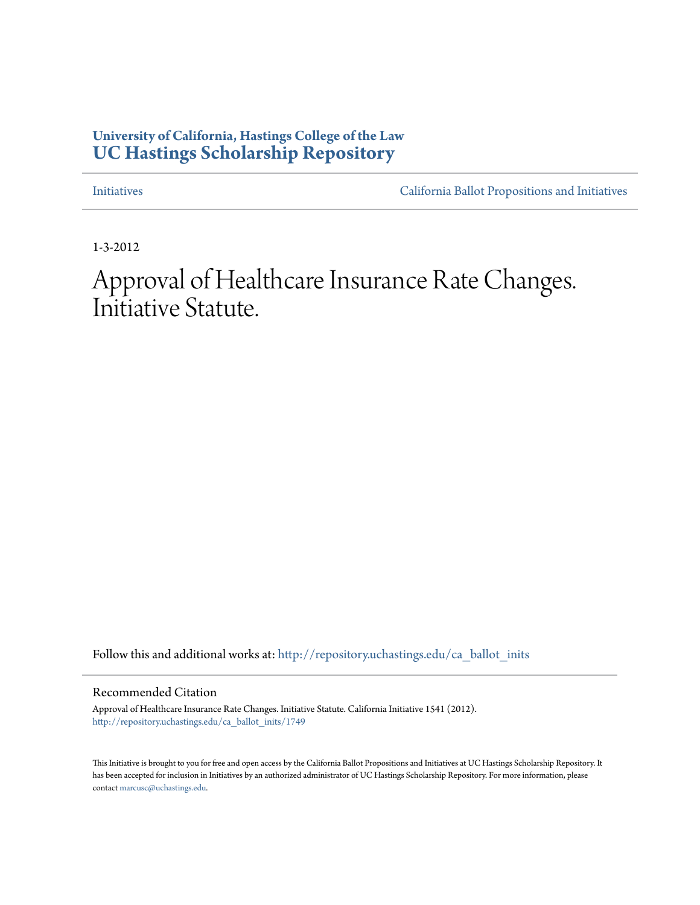# **University of California, Hastings College of the Law [UC Hastings Scholarship Repository](http://repository.uchastings.edu?utm_source=repository.uchastings.edu%2Fca_ballot_inits%2F1749&utm_medium=PDF&utm_campaign=PDFCoverPages)**

[Initiatives](http://repository.uchastings.edu/ca_ballot_inits?utm_source=repository.uchastings.edu%2Fca_ballot_inits%2F1749&utm_medium=PDF&utm_campaign=PDFCoverPages) [California Ballot Propositions and Initiatives](http://repository.uchastings.edu/ca_ballots?utm_source=repository.uchastings.edu%2Fca_ballot_inits%2F1749&utm_medium=PDF&utm_campaign=PDFCoverPages)

1-3-2012

Approval of Healthcare Insurance Rate Changes. Initiative Statute.

Follow this and additional works at: [http://repository.uchastings.edu/ca\\_ballot\\_inits](http://repository.uchastings.edu/ca_ballot_inits?utm_source=repository.uchastings.edu%2Fca_ballot_inits%2F1749&utm_medium=PDF&utm_campaign=PDFCoverPages)

Recommended Citation

Approval of Healthcare Insurance Rate Changes. Initiative Statute. California Initiative 1541 (2012). [http://repository.uchastings.edu/ca\\_ballot\\_inits/1749](http://repository.uchastings.edu/ca_ballot_inits/1749?utm_source=repository.uchastings.edu%2Fca_ballot_inits%2F1749&utm_medium=PDF&utm_campaign=PDFCoverPages)

This Initiative is brought to you for free and open access by the California Ballot Propositions and Initiatives at UC Hastings Scholarship Repository. It has been accepted for inclusion in Initiatives by an authorized administrator of UC Hastings Scholarship Repository. For more information, please contact [marcusc@uchastings.edu](mailto:marcusc@uchastings.edu).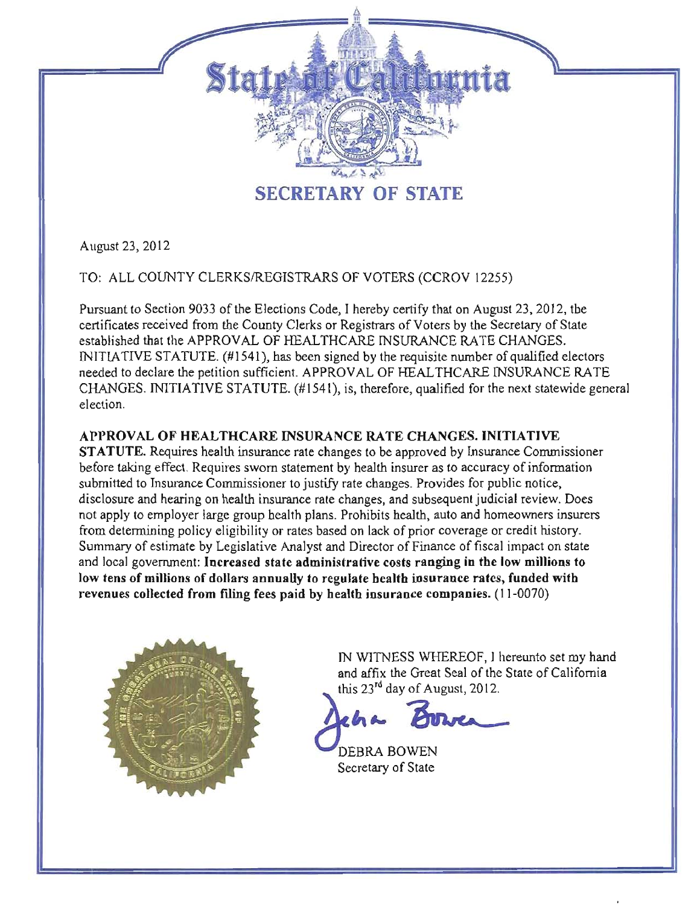

August 23, 2012

TO: ALL COUNTY CLERKSIREGISTRARS OF VOTERS (CCROV 12255)

Pursuant to Section 9033 of the Elections Code, I hereby certify that on August 23, 2012, the certificates received from the County Clerks or Registrars of Voters by the Secretary of State established that the APPROVAL OF HEALTHCARE INSURANCE RATE CHANGES. INITIATIVE STATUTE. (#1541), has been signed by the requisite number of qualified electors needed to declare the petition sufficient. APPROVAL OF HEAL THCARE INSURANCE RATE CHANGES. INITIATIVE STATUTE. (#1541), is, therefore, qualified for the next statewide general election.

## APPROVAL OF HEALTHCARE INSURANCE RATE CHANGES. INITIATIVE

STATUTE. Requires health insurance rate changes to be approved by Insurance Commissioner before taking effect. Requires sworn statement by health insurer as to accuracy of infonnation submitted to Insurance Commissioner to justify rate changes. Provides for public notice, disclosure and hearing on health insurance rate changes, and subsequent judicial review. Does not apply to employer large group health plans. Prohibits health, auto and homeowners insurers from detennining policy eligibility or rates based on lack of prior coverage or credit history. Summary of estimate by Legislative Analyst and Director of Finance of fiscal impact on state and local government: Increased state administrative costs ranging in the low millions to low tens of millions of dollars annually to regulate health insurance rates, funded with revenues collected from filing fees paid by health insurance companies. (11 -0070)



IN WITNESS WHEREOF, I hereunto set my hand and affix the S WHEREOF, I hereunto set my hand<br>Great Seal of the State of California<br>of August, 2012. Great Seal of the State of California

 $2\ln a$ &'

DEBRA BOWEN Secretary of State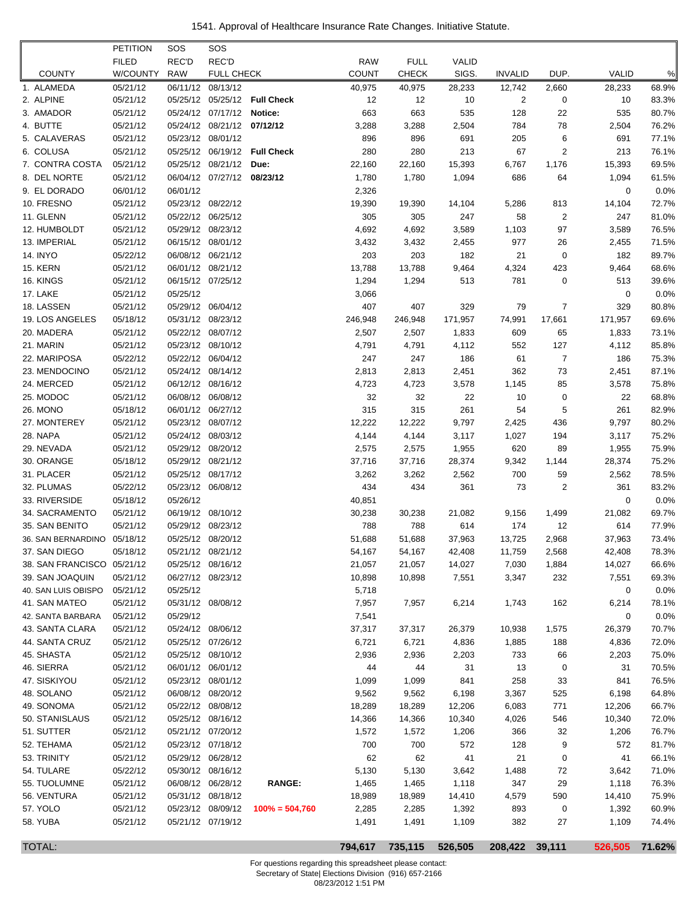1541. Approval of Healthcare Insurance Rate Changes. Initiative Statute.

|                             | <b>PETITION</b>      | SOS        | SOS                                    |                              |                |                |              |                |                |             |                |
|-----------------------------|----------------------|------------|----------------------------------------|------------------------------|----------------|----------------|--------------|----------------|----------------|-------------|----------------|
|                             | <b>FILED</b>         | REC'D      | REC'D                                  |                              | <b>RAW</b>     | <b>FULL</b>    | <b>VALID</b> |                |                |             |                |
| <b>COUNTY</b>               | W/COUNTY             | <b>RAW</b> | <b>FULL CHECK</b>                      |                              | <b>COUNT</b>   | <b>CHECK</b>   | SIGS.        | <b>INVALID</b> | DUP.           | VALID       | $\%$           |
| 1. ALAMEDA                  | 05/21/12             |            | 06/11/12 08/13/12                      |                              | 40,975         | 40,975         | 28,233       | 12,742         | 2,660          | 28,233      | 68.9%          |
| 2. ALPINE                   | 05/21/12             |            |                                        | 05/25/12 05/25/12 Full Check | 12             | 12             | 10           | 2              | 0              | 10          | 83.3%          |
| 3. AMADOR                   | 05/21/12             |            | 05/24/12 07/17/12 Notice:              |                              | 663            | 663            | 535          | 128            | 22             | 535         | 80.7%          |
| 4. BUTTE                    | 05/21/12             |            | 05/24/12 08/21/12 07/12/12             |                              | 3,288          | 3,288          | 2,504        | 784            | 78             | 2,504       | 76.2%          |
| 5. CALAVERAS                | 05/21/12             |            | 05/23/12 08/01/12                      |                              | 896            | 896            | 691          | 205            | 6              | 691         | 77.1%          |
| 6. COLUSA                   | 05/21/12             |            |                                        | 05/25/12 06/19/12 Full Check | 280            | 280            | 213          | 67             | $\overline{2}$ | 213         | 76.1%          |
| 7. CONTRA COSTA             | 05/21/12             |            | 05/25/12 08/21/12                      | Due:                         | 22,160         | 22,160         | 15,393       | 6,767          | 1,176          | 15,393      | 69.5%          |
| 8. DEL NORTE                | 05/21/12             |            | 06/04/12 07/27/12 08/23/12             |                              | 1,780          | 1,780          | 1,094        | 686            | 64             | 1,094       | 61.5%          |
| 9. EL DORADO                | 06/01/12             | 06/01/12   |                                        |                              | 2,326          |                |              |                |                | 0           | 0.0%           |
| 10. FRESNO                  | 05/21/12             |            | 05/23/12 08/22/12                      |                              | 19,390         | 19,390         | 14,104       | 5,286          | 813            | 14,104      | 72.7%          |
| 11. GLENN                   | 05/21/12             |            | 05/22/12 06/25/12                      |                              | 305            | 305            | 247          | 58             | 2              | 247         | 81.0%          |
| 12. HUMBOLDT                | 05/21/12             |            | 05/29/12 08/23/12                      |                              | 4,692          | 4,692          | 3,589        | 1,103          | 97             | 3,589       | 76.5%          |
| 13. IMPERIAL                | 05/21/12             |            | 06/15/12 08/01/12                      |                              | 3,432          | 3,432          | 2,455        | 977            | 26             | 2,455       | 71.5%          |
| <b>14. INYO</b>             | 05/22/12             |            | 06/08/12 06/21/12                      |                              | 203            | 203            | 182          | 21             | 0              | 182         | 89.7%          |
| <b>15. KERN</b>             | 05/21/12             |            | 06/01/12 08/21/12                      |                              | 13,788         | 13,788         | 9,464        | 4,324          | 423            | 9,464       | 68.6%          |
| 16. KINGS                   | 05/21/12             |            | 06/15/12 07/25/12                      |                              | 1,294          | 1,294          | 513          | 781            | 0              | 513         | 39.6%          |
| 17. LAKE                    | 05/21/12             | 05/25/12   |                                        |                              | 3,066          |                |              |                |                | 0           | 0.0%           |
| 18. LASSEN                  | 05/21/12             |            | 05/29/12 06/04/12                      |                              | 407            | 407            | 329          | 79             | 7              | 329         | 80.8%          |
| 19. LOS ANGELES             | 05/18/12             |            | 05/31/12 08/23/12                      |                              | 246,948        | 246,948        | 171,957      | 74,991         | 17,661         | 171,957     | 69.6%          |
| 20. MADERA                  | 05/21/12             |            | 05/22/12 08/07/12                      |                              | 2,507          | 2,507          | 1,833        | 609            | 65             | 1,833       | 73.1%          |
| 21. MARIN                   | 05/21/12             |            | 05/23/12 08/10/12                      |                              | 4,791          | 4,791          | 4,112        | 552            | 127            | 4,112       | 85.8%          |
| 22. MARIPOSA                | 05/22/12             |            | 05/22/12 06/04/12<br>05/24/12 08/14/12 |                              | 247            | 247            | 186          | 61             | 7              | 186         | 75.3%          |
| 23. MENDOCINO<br>24. MERCED | 05/21/12<br>05/21/12 |            | 06/12/12 08/16/12                      |                              | 2,813<br>4,723 | 2,813<br>4,723 | 2,451        | 362            | 73<br>85       | 2,451       | 87.1%<br>75.8% |
| 25. MODOC                   | 05/21/12             |            | 06/08/12 06/08/12                      |                              | 32             | 32             | 3,578<br>22  | 1,145<br>10    | 0              | 3,578<br>22 | 68.8%          |
| 26. MONO                    | 05/18/12             |            | 06/01/12 06/27/12                      |                              | 315            | 315            | 261          | 54             | 5              | 261         | 82.9%          |
| 27. MONTEREY                | 05/21/12             |            | 05/23/12 08/07/12                      |                              | 12,222         | 12,222         | 9,797        | 2,425          | 436            | 9,797       | 80.2%          |
| 28. NAPA                    | 05/21/12             |            | 05/24/12 08/03/12                      |                              | 4,144          | 4,144          | 3,117        | 1,027          | 194            | 3,117       | 75.2%          |
| 29. NEVADA                  | 05/21/12             |            | 05/29/12 08/20/12                      |                              | 2,575          | 2,575          | 1,955        | 620            | 89             | 1,955       | 75.9%          |
| 30. ORANGE                  | 05/18/12             |            | 05/29/12 08/21/12                      |                              | 37,716         | 37,716         | 28,374       | 9,342          | 1,144          | 28,374      | 75.2%          |
| 31. PLACER                  | 05/21/12             |            | 05/25/12 08/17/12                      |                              | 3,262          | 3,262          | 2,562        | 700            | 59             | 2,562       | 78.5%          |
| 32. PLUMAS                  | 05/22/12             |            | 05/23/12 06/08/12                      |                              | 434            | 434            | 361          | 73             | 2              | 361         | 83.2%          |
| 33. RIVERSIDE               | 05/18/12             | 05/26/12   |                                        |                              | 40,851         |                |              |                |                | 0           | 0.0%           |
| 34. SACRAMENTO              | 05/21/12             |            | 06/19/12 08/10/12                      |                              | 30,238         | 30,238         | 21,082       | 9,156          | 1,499          | 21,082      | 69.7%          |
| 35. SAN BENITO              | 05/21/12             |            | 05/29/12 08/23/12                      |                              | 788            | 788            | 614          | 174            | 12             | 614         | 77.9%          |
| 36. SAN BERNARDINO          | 05/18/12             |            | 05/25/12 08/20/12                      |                              | 51,688         | 51,688         | 37,963       | 13,725         | 2,968          | 37,963      | 73.4%          |
| 37. SAN DIEGO               | 05/18/12             |            | 05/21/12 08/21/12                      |                              | 54,167         | 54,167         | 42,408       | 11,759         | 2,568          | 42,408      | 78.3%          |
| 38. SAN FRANCISCO 05/21/12  |                      |            | 05/25/12 08/16/12                      |                              | 21,057         | 21,057         | 14,027       | 7,030          | 1,884          | 14,027      | 66.6%          |
| 39. SAN JOAQUIN             | 05/21/12             |            | 06/27/12 08/23/12                      |                              | 10,898         | 10,898         | 7,551        | 3,347          | 232            | 7,551       | 69.3%          |
| 40. SAN LUIS OBISPO         | 05/21/12             | 05/25/12   |                                        |                              | 5,718          |                |              |                |                | 0           | 0.0%           |
| 41. SAN MATEO               | 05/21/12             |            | 05/31/12 08/08/12                      |                              | 7,957          | 7,957          | 6,214        | 1,743          | 162            | 6,214       | 78.1%          |
| 42. SANTA BARBARA           | 05/21/12             | 05/29/12   |                                        |                              | 7,541          |                |              |                |                | 0           | 0.0%           |
| 43. SANTA CLARA             | 05/21/12             |            | 05/24/12 08/06/12                      |                              | 37,317         | 37,317         | 26,379       | 10,938         | 1,575          | 26,379      | 70.7%          |
| 44. SANTA CRUZ              | 05/21/12             |            | 05/25/12 07/26/12                      |                              | 6,721          | 6,721          | 4,836        | 1,885          | 188            | 4,836       | 72.0%          |
| 45. SHASTA                  | 05/21/12             |            | 05/25/12 08/10/12                      |                              | 2,936          | 2,936          | 2,203        | 733            | 66             | 2,203       | 75.0%          |
| 46. SIERRA                  | 05/21/12             |            | 06/01/12 06/01/12                      |                              | 44             | 44             | 31           | 13             | 0              | 31          | 70.5%          |
| 47. SISKIYOU                | 05/21/12             |            | 05/23/12 08/01/12                      |                              | 1,099          | 1,099          | 841          | 258            | 33             | 841         | 76.5%          |
| 48. SOLANO                  | 05/21/12             |            | 06/08/12 08/20/12                      |                              | 9,562          | 9,562          | 6,198        | 3,367          | 525            | 6,198       | 64.8%          |
| 49. SONOMA                  | 05/21/12             |            | 05/22/12 08/08/12                      |                              | 18,289         | 18,289         | 12,206       | 6,083          | 771            | 12,206      | 66.7%          |
| 50. STANISLAUS              | 05/21/12             |            | 05/25/12 08/16/12                      |                              | 14,366         | 14,366         | 10,340       | 4,026          | 546            | 10,340      | 72.0%          |
| 51. SUTTER                  | 05/21/12             |            | 05/21/12 07/20/12                      |                              | 1,572          | 1,572          | 1,206        | 366            | 32             | 1,206       | 76.7%          |
| 52. TEHAMA                  | 05/21/12             |            | 05/23/12 07/18/12                      |                              | 700            | 700            | 572          | 128            | 9              | 572         | 81.7%          |
| 53. TRINITY                 | 05/21/12             |            | 05/29/12 06/28/12                      |                              | 62             | 62             | 41           | 21             | 0              | 41          | 66.1%          |
| 54. TULARE                  | 05/22/12             |            | 05/30/12 08/16/12                      |                              | 5,130          | 5,130          | 3,642        | 1,488          | 72             | 3,642       | 71.0%          |
| 55. TUOLUMNE                | 05/21/12             |            | 06/08/12 06/28/12                      | <b>RANGE:</b>                | 1,465          | 1,465          | 1,118        | 347            | 29             | 1,118       | 76.3%          |
| 56. VENTURA                 | 05/21/12             |            | 05/31/12 08/18/12                      |                              | 18,989         | 18,989         | 14,410       | 4,579          | 590            | 14,410      | 75.9%          |
| 57. YOLO<br>58. YUBA        | 05/21/12<br>05/21/12 |            | 05/23/12 08/09/12<br>05/21/12 07/19/12 | $100\% = 504,760$            | 2,285          | 2,285          | 1,392        | 893<br>382     | 0<br>27        | 1,392       | 60.9%<br>74.4% |
|                             |                      |            |                                        |                              | 1,491          | 1,491          | 1,109        |                |                | 1,109       |                |

TOTAL: **794,617 735,115 526,505 208,422 39,111 526,505 71.62%**

For questions regarding this spreadsheet please contact: Secretary of State| Elections Division (916) 657-2166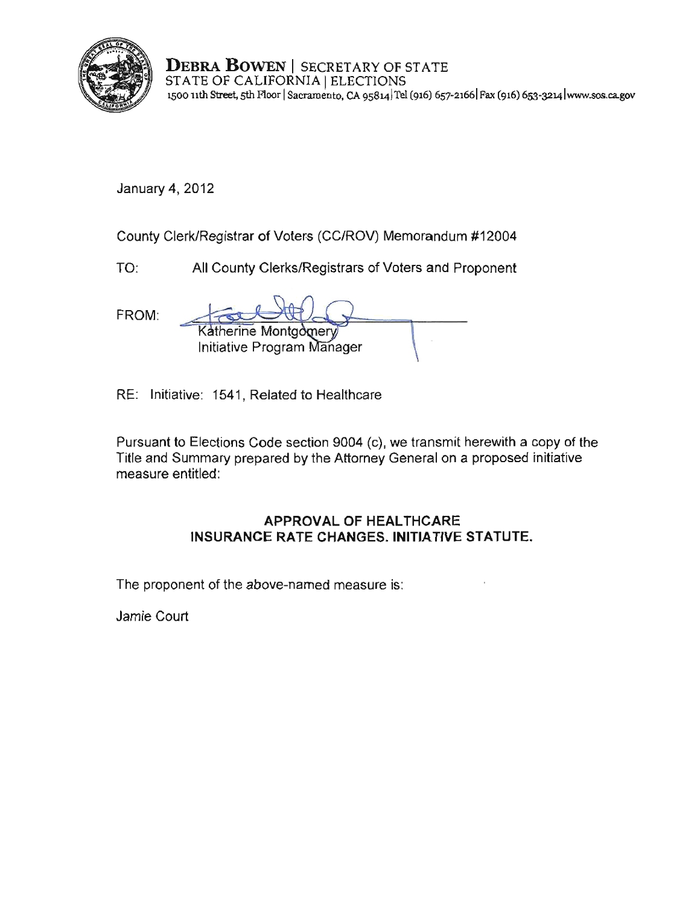

**DEBRA BOWEN** I SECRETARY OF STATE STATE OF CALIFORNIA | ELECTIONS **1500 11th Street, 5th Roor ISacramento. CA 9S814!Tel (916) 657-21661 Fax (916) 653-32L4 lwww.sos.ca.gov** 

January 4,2012

County Clerk/Registrar of Voters (CC/ROV) Memorandum #12004

TO: All County Clerks/Registrars of Voters and Proponent

FROM: Katherine Montgomery Initiative Program Manager

RE: Initiative: 1541, Related to Healthcare

Pursuant to Elections Code section 9004 (c), we transmit herewith a copy of the Title and Summary prepared by the Attorney General on a proposed initiative measure entitled:

# **APPROVAL OF HEALTHCARE INSURANCE** RATE CHANGES. INITIATIVE STATUTE.

The proponent of the above-named measure is:

Jamie Court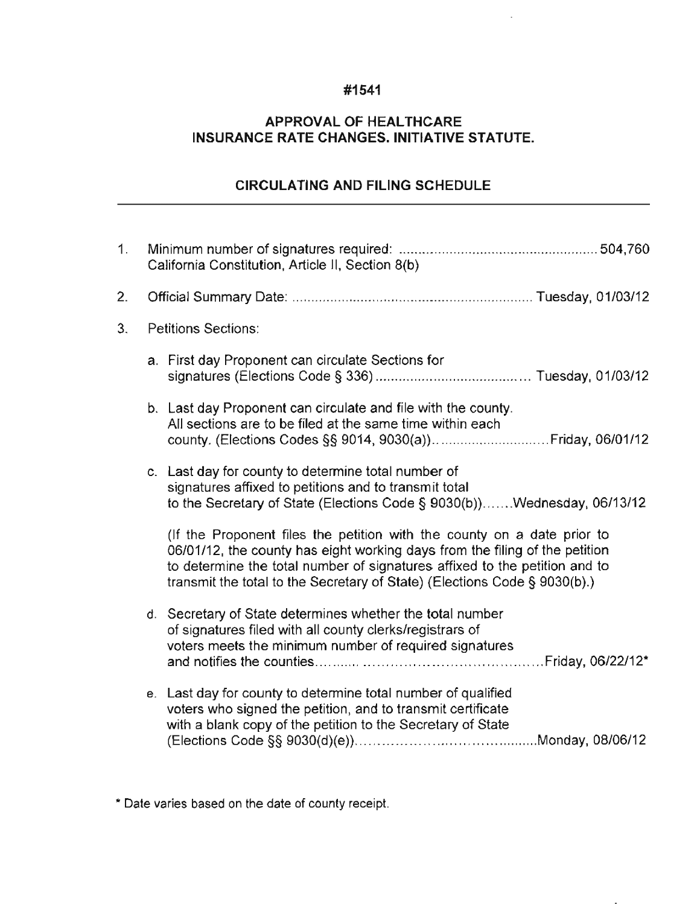### **#1541**

# **APPROVAL OF HEALTHCARE INSURANCE RATE** CHANGES. INITIATIVE **STATUTE.**

# **CIRCULATING AND FILING SCHEDULE**

| 1. |                            | California Constitution, Article II, Section 8(b)                                                                                                                                                                                                                                                                 |  |  |  |  |  |  |
|----|----------------------------|-------------------------------------------------------------------------------------------------------------------------------------------------------------------------------------------------------------------------------------------------------------------------------------------------------------------|--|--|--|--|--|--|
| 2. |                            |                                                                                                                                                                                                                                                                                                                   |  |  |  |  |  |  |
| 3. | <b>Petitions Sections:</b> |                                                                                                                                                                                                                                                                                                                   |  |  |  |  |  |  |
|    |                            | a. First day Proponent can circulate Sections for                                                                                                                                                                                                                                                                 |  |  |  |  |  |  |
|    |                            | b. Last day Proponent can circulate and file with the county.<br>All sections are to be filed at the same time within each                                                                                                                                                                                        |  |  |  |  |  |  |
|    |                            | c. Last day for county to determine total number of<br>signatures affixed to petitions and to transmit total<br>to the Secretary of State (Elections Code § 9030(b))Wednesday, 06/13/12                                                                                                                           |  |  |  |  |  |  |
|    |                            | (If the Proponent files the petition with the county on a date prior to<br>06/01/12, the county has eight working days from the filing of the petition<br>to determine the total number of signatures affixed to the petition and to<br>transmit the total to the Secretary of State) (Elections Code § 9030(b).) |  |  |  |  |  |  |
|    |                            | d. Secretary of State determines whether the total number<br>of signatures filed with all county clerks/registrars of<br>voters meets the minimum number of required signatures                                                                                                                                   |  |  |  |  |  |  |
|    |                            | e. Last day for county to determine total number of qualified<br>voters who signed the petition, and to transmit certificate<br>with a blank copy of the petition to the Secretary of State                                                                                                                       |  |  |  |  |  |  |

**\* Date varies based on the date of county receipt.**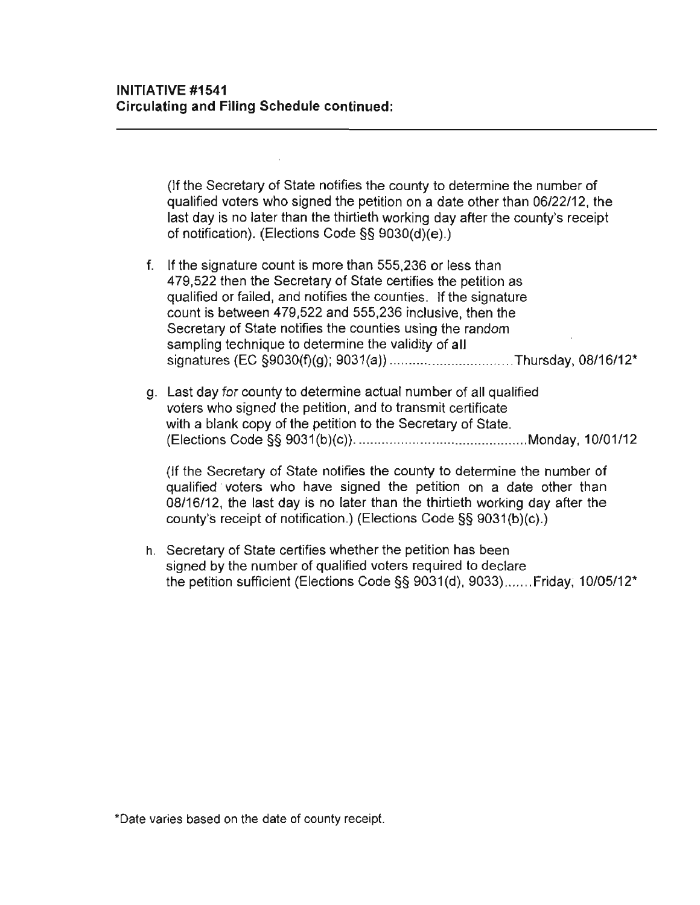(If the Secrelary of Stale notifies the county to determine the number of qualified voters who signed the petition on a date other than 06/22/12, the last day is no later than the thirtieth working day after the county's receipt of notification). (Elections Code §§ 9030(d)(e).)

- f. **If** the signature count is more than 555,236 or less than 479,522 then the Secretary of State certifies the petition as qualified or failed, and notifies the counties. **If** the signature count is between 479,522 and 555,236 inclusive, then the Secretary of State notifies the counties using the random sampling technique to determine the validity of all signatures (EC §9030(f)(g); 9031 (a)) ... ............................ Thursday, 08/16/12"
- g. Last day for county to determine actual number of all qualified voters who signed the petition, and to transmit certificate with a blank copy of the petition to the Secretary of State. (Elections Code §§ 9031 (b)(c)) ............ ................................. Monday, 10101/12

(If the Secretary of State notifies the county to determine the number of qualified voters who have signed the petition on a date other than 08/16/12, the last day is no later than the thirtieth working day after the county's receipt of notification.) (Elections Code §§ 9031(b)(c).)

h. Secretary of State certifies whether the petition has been signed by the number of qualified voters required to declare the petition sufficient (Elections Code §§ 9031(d), 9033) ....... Friday, 10105/12"

**\*Date varies based on the date of county receipt.**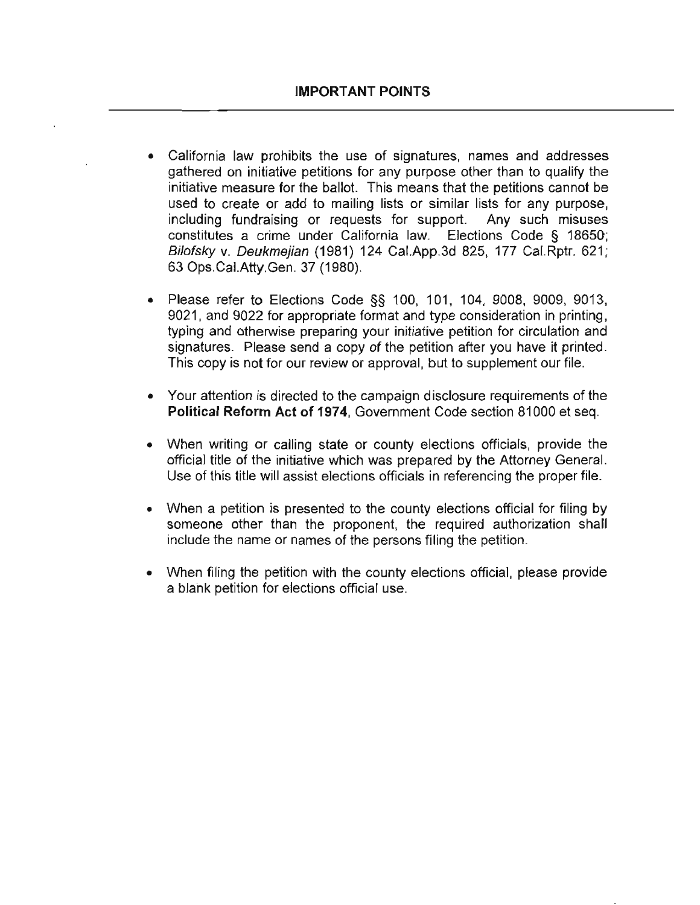- **California law prohibits the use of signatures, names and addresses**  gathered on initiative petitions for any purpose other than to qualify the initiative measure for the ballot. This means that the petitions cannot be used to create or add to mailing lists or similar lists for any purpose, including fundraising or requests for support. Any such misuses constitutes a crime under California law. Elections Code § 18650; Bilofsky v. Deukmejian (1981) 124 Cal.App.3d 825, 177 Cal.Rptr. 621; 63 Ops.CaI.Atty.Gen. 37 (1980).
- Please refer to Elections Code §§ 100, 101, 104, 9008, 9009, 9013, 9021, and 9022 for appropriate format and type consideration in printing, typing and otherwise preparing your initiative petition for circulation and signatures. Please send a copy of the petition after you have it printed. This copy is not for our review or approval, but to supplement our file.
- Your attention is directed to the campaign disclosure requirements of the Political Reform Act of 1974, Government Code section 81000 et seq.
- When writing or calling state or county elections officials, provide the official title of the initiative which was prepared by the Attorney General. Use of this title will assist elections officials in referencing the proper file.
- When a petition is presented to the county elections official for filing by someone other than the proponent, the required authorization shall include the name or names of the persons filing the petition.
- When filing the petition with the county elections official, please provide a blahk petition for elections official use.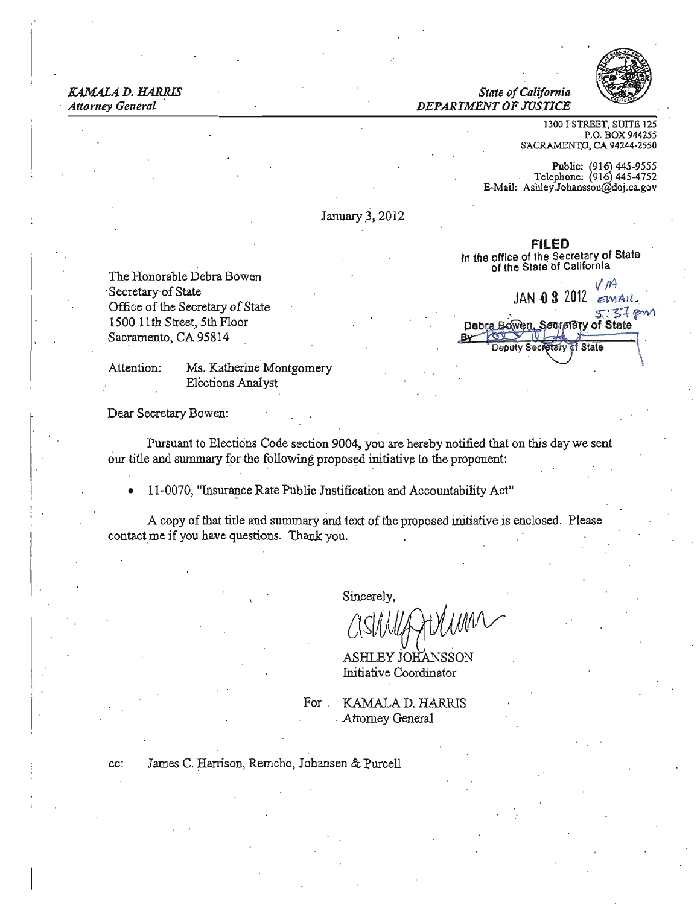### *KAMALA D. HARRIS* State of California *Attorney General DEPARTMENT OF JUSTICE*



1300 I STREET, SUITE 125 P.O. BOX 944255 SACRAMENTO, CA 94244-2550

Public:  $(916)$  445-9555 Telephone: (916) 445-4752 E-Mail: Ashley.Johansson@doj.ca.gov

January 3, 2012

The Honorable Debra Bowen Sacramento, CA 95814

Attention: Ms. Katherine Montgomery Elections Analyst

Dear Secretary Bowen:

Pursuant to Elections Code section 9004, you are hereby notified that on this day we sent our title and summary for the following proposed initiative to the proponent:

11-0070, "Insurance Rate Public Justification and Accountability Act"

A copy of that title and summary and text of the proposed initiative is enclosed. Please contact me if you have questions. Thank you.

Sincerely,

*(Ac;,/li)J/J}t){jJ./WV* 

ASHLEY JOHANSSO Initiative Coordinator

For . KAMALAD. HARRIS Attorney General

cc: James C. Harrison, Remcho, Jobansen& Purcell

FILED In the office of the Secretary of State of the State of California

Secretary of State . 0/ *""* JAN 0 3 2012 *"""A'C* Office ofthe Secretary ofState !>.: -s-=i 'i"'" 1500 11th Street, 5th Floor of State Deputy Secretary of State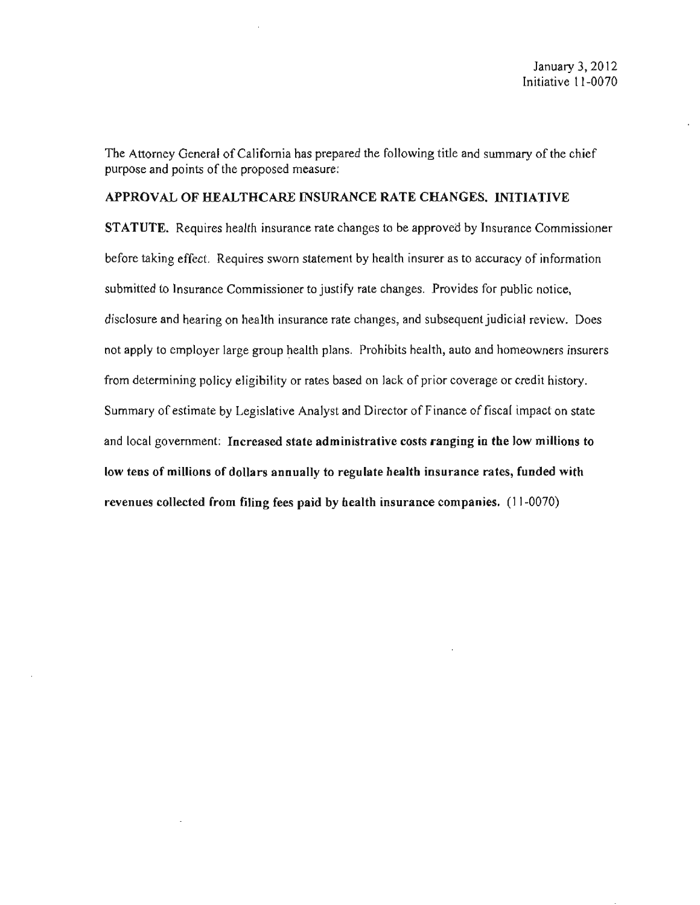The Attorney General of California has prepared the following title and summary of the chief purpose and points of the proposed measure:

### APPROVAL OF HEALTHCARE INSURANCE RATE CHANGES. INITIATIVE

STATUTE. Requires health insurance rate changes to be approved by Insurance Commissioner before taking effect. Requires sworn statement by health insurer as to accuracy of information submitted to Insurance Commissioner to justify rate changes. Provides for public notice, disclosure and hearing on health insurance rate changes, and subsequent judicial review. Does not apply to employer large group health plans. Prohibits health, auto and homeowners insurers from determining policy eligibility or rates based on lack of prior coverage or credit history. Summary of estimate by Legislative Analyst and Director of Finance of fiscal impact on state and local government: Incrcased state administrative costs ranging in the low millions to low tens of millions of dollars annually to regulate health insurance rates, funded with revenues collected from filing fees paid by health insurance companies. (11-0070)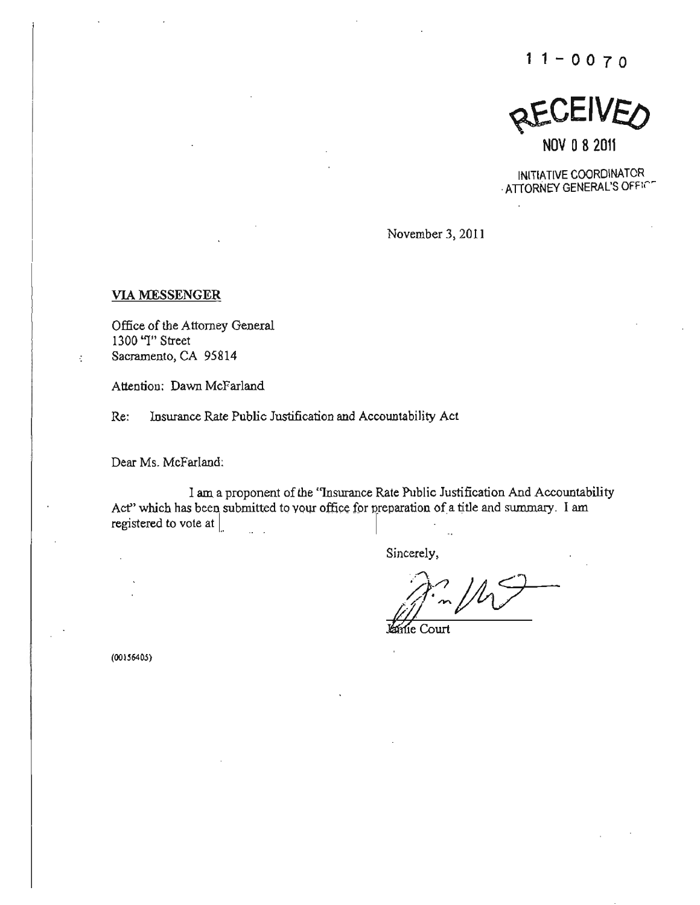$11 - 0070$ 

**QEUEIVED** 

NOV 082011

INITIATIVE COORDINATOR .ATIORNEY GENERAL'S OFFIC"

November 3, 2011

### VIA MESSENGER

ł.

Office of the Attorney General 1300 "I" Street Sacramento, CA 95814

**Attention: Dawn McFarland** 

**Re: Insurance Rate Public Justification and Accountability Act** 

Dear Ms, McFarland:

I am **a proponent** of the **"Insurance Rate Public Justification And Accountability**  Act" which has been submitted to your office for preparation of a title and summary. I am registered to vote at  $\parallel$ registered to vote at  $\vert$ 

**Sincerely.** 

 $ii''$  of  $10\sqrt{2}$ 

**e Court** 

**(001.56405)**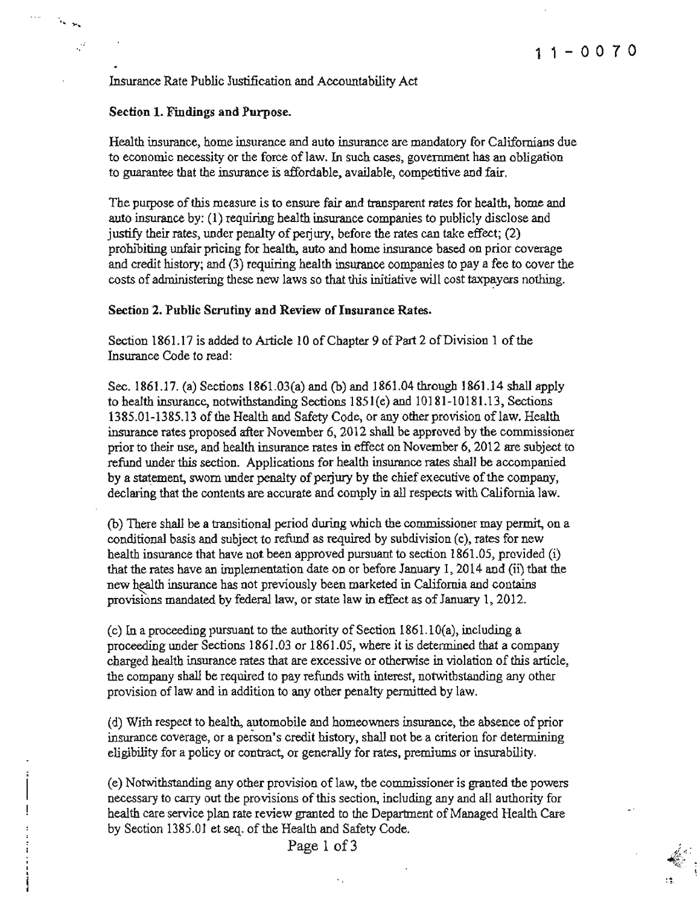Insurance Rate Public Justification and Accountability Act

### Section 1. Findings and Purpose.

." ....

 $\zeta^2$ 

Health insurance, home insurance and auto insurance are mandatory for Californians due to economic necessity or the force of law, In such cases, government has an obligation to guarantee that the insurance is affordable, available, competitive and fair.

The purpose ofthis measure *is* to ensure fair and transparent rates for health, home and auto insurance by: (1) requiring health insurance companies to publicly disclose and justify their rates, under penalty of perjury, before the rates can take effect;  $(2)$ prohibiting unfair pricing for health, auto and home insurance based on prior coverage and credit history; and (3) requiring health insurance companies to pay a fee to cover the costs of administering these new laws so that this initiative will cost taxpayers nothing.

### Section 2. Public Scrutiny and Review of Insurance Rates.

Section 1861.17 is added to Article 10 of Chapter 9 of Part 2 of Division 1 of the Insurance Code to read:

Sec. 1861.17. (a) Sections 1861.03(a) and  $(b)$  and 1861.04 through 1861.14 shall apply to health insurance, notwithstanding Sections 1851(e) and 10181-10181.13, Sections 1385.01-1385.13 of the Health and Safety Code, or any other provision oflaw. Health insurance rates proposed after November 6, 2012 shall be approved by the commissioner prior to their use, and health insurance rates in effect on November 6, 2012 are subject to refund under this section. Applications for health insurance rates shall be accompanied by a statement, swom under penalty of perjury by the chief executive of the company, declaring that the contents are accurate and comply in all respects with California law.

(b) There shall be a transitional period during which the commissioner may permit, on a conditional basis and subject to refund as required by subdivision (c), rates for new health insurance that have not been approved pursuant to section  $1861.05$ , provided (i) that the rates have an implementation date on or before January I, 2014 and (ii) that the new health insurance has not previously been marketed in California and contains provisions mandated by federal law. or state law in effect as of January I, 2012.

(c) In a proceeding pursuant to the authority of Section  $1861.10(a)$ , including a proceeding under Sections 1861.03 or 1861 .05, where it is determined that a company charged health insurance rates that are excessive or otherwise in violation ofthis article, the company shall be required to pay refunds with interest, notwithstanding any other provision of law and in addition to any other penalty permitted by law.

(d) With respect to health, automobile and homeowners insurance, the absence ofprior insurance coverage, or a peison's credit history, shall not be a criterion for determining eligibility for a policy or contract, or generally for rates, premiums or insurability.

(e) Notwithstanding any other provision of law, the commissioner is granted the powers necessary to carry out the provisions of this section, including any and all authority for health care service plan rate review granted to the Department of Managed Health Care by Section 1385.01 et seq. of the Health and Safety Code.

Page 1 of 3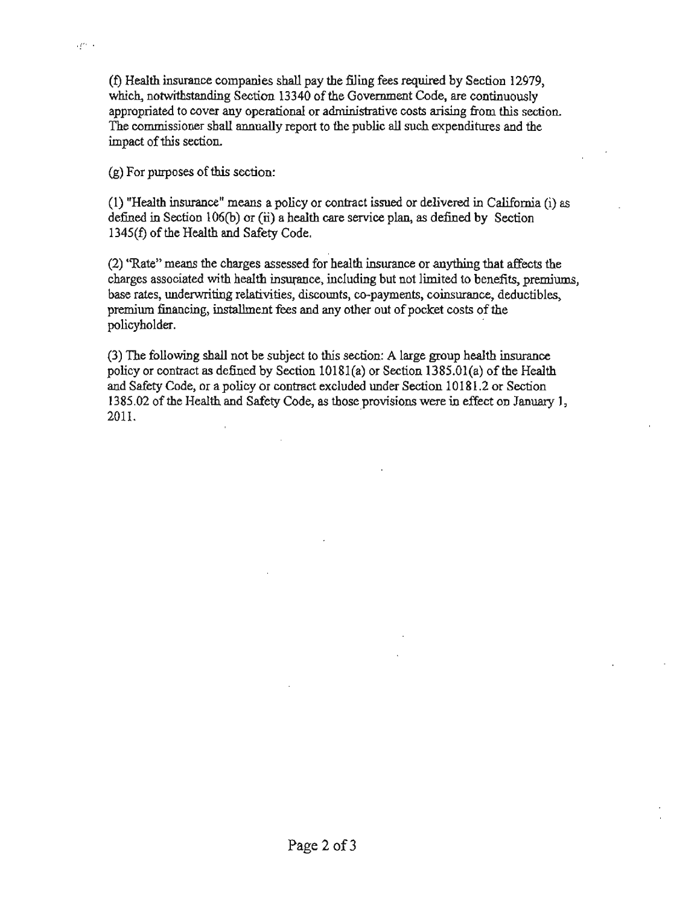$(f)$  Health insurance companies shall pay the filing fees required by Section  $12979$ , **which, notwithstanding Section 13340** of the **Govemment Code, are continuously appropriated to cover any operational or administrative costs arising from this section. The commissioner shall annually report to the public all such expenditures and the**  impact of this section.

 $(g)$  For purposes of this section:

and a

 $(1)$  "Health insurance" means a policy or contract issued or delivered in California  $(i)$  as defined in Section  $106(b)$  or (ii) a health care service plan, as defined by Section 1345(f) of the Health and Safety Code.

(2) "Rate" means the charges assessed for health insurance or anything that affects the charges associated with health insurance, including but not limited to benefits, premiums, **base rates, underwriting relativities, discounts, co-payments, coinsurance, deductibles,**  premium financing, installment fees and any other out of pocket costs of the policyholder.

(3) The following shall not be subject to this section: A large group health insurance policy or contract as defined by Section  $10181(a)$  or Section  $1385.01(a)$  of the Health **and Safety Code, or apoliey or** contract excluded **under Section 10181 .2 or Section 1385.02** of the **Health and Safety Code, as those provisions were in effect on January 1,**   $2011.$